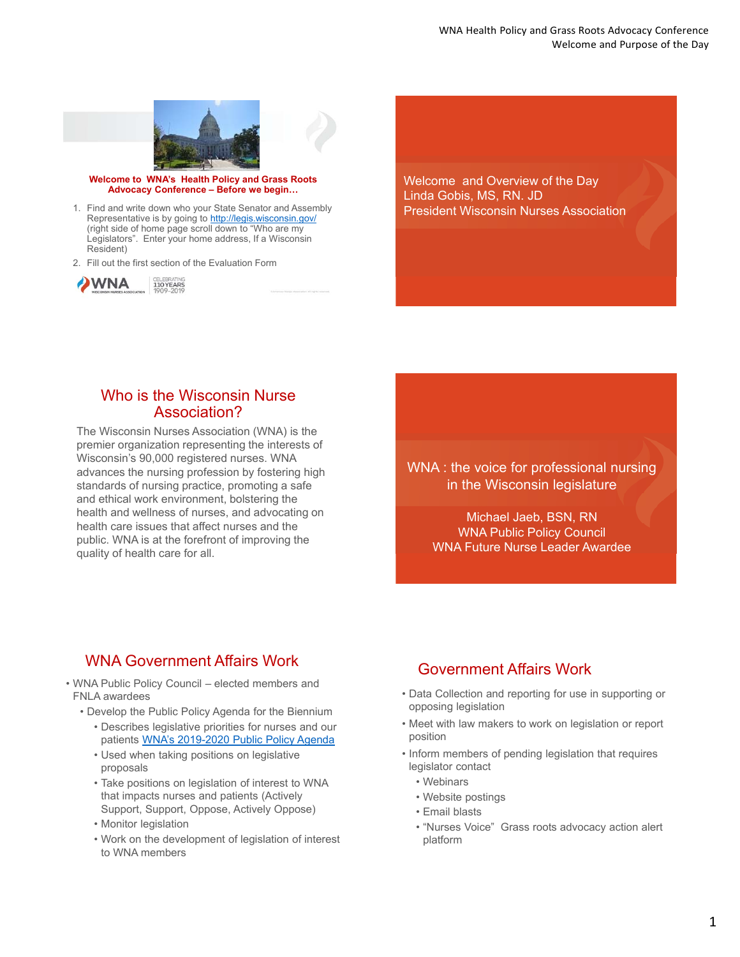

**Welcome to WNA's Health Policy and Grass Roots Advocacy Conference – Before we begin…**

1. Find and write down who your State Senator and Assembly Representative is by going to http://legis.wisconsin.gov/ (right side of home page scroll down to "Who are my Legislators". Enter your home address, If a Wisconsin Resident)

2. Fill out the first section of the Evaluation Form



Welcome and Overview of the Day Linda Gobis, MS, RN. JD President Wisconsin Nurses Association

### Who is the Wisconsin Nurse Association?

The Wisconsin Nurses Association (WNA) is the premier organization representing the interests of Wisconsin's 90,000 registered nurses. WNA advances the nursing profession by fostering high standards of nursing practice, promoting a safe and ethical work environment, bolstering the health and wellness of nurses, and advocating on health care issues that affect nurses and the public. WNA is at the forefront of improving the quality of health care for all.

#### WNA : the voice for professional nursing in the Wisconsin legislature

Michael Jaeb, BSN, RN WNA Public Policy Council WNA Future Nurse Leader Awardee

#### WNA Government Affairs Work

- WNA Public Policy Council elected members and FNLA awardees
	- Develop the Public Policy Agenda for the Biennium • Describes legislative priorities for nurses and our
		- patients WNA's 2019-2020 Public Policy Agenda
		- Used when taking positions on legislative proposals
		- Take positions on legislation of interest to WNA that impacts nurses and patients (Actively Support, Support, Oppose, Actively Oppose)
		- Monitor legislation
		- Work on the development of legislation of interest to WNA members

## Government Affairs Work

- Data Collection and reporting for use in supporting or opposing legislation
- Meet with law makers to work on legislation or report position
- Inform members of pending legislation that requires legislator contact
	- Webinars
	- Website postings
	- Email blasts
	- "Nurses Voice" Grass roots advocacy action alert platform